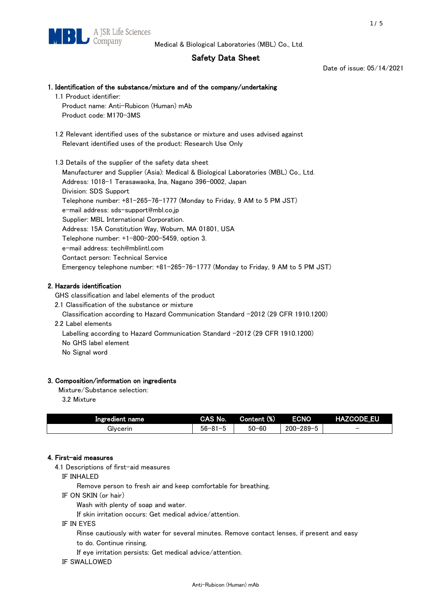## Safety Data Sheet

Date of issue: 05/14/2021

# 1. Identification of the substance/mixture and of the company/undertaking

1.1 Product identifier: Product name: Anti-Rubicon (Human) mAb Product code: M170-3MS

 1.2 Relevant identified uses of the substance or mixture and uses advised against Relevant identified uses of the product: Research Use Only

 1.3 Details of the supplier of the safety data sheet Manufacturer and Supplier (Asia): Medical & Biological Laboratories (MBL) Co., Ltd. Address: 1018-1 Terasawaoka, Ina, Nagano 396-0002, Japan Division: SDS Support Telephone number: +81-265-76-1777 (Monday to Friday, 9 AM to 5 PM JST) e-mail address: sds-support@mbl.co.jp Supplier: MBL International Corporation. Address: 15A Constitution Way, Woburn, MA 01801, USA Telephone number: +1-800-200-5459, option 3. e-mail address: tech@mblintl.com Contact person: Technical Service Emergency telephone number: +81-265-76-1777 (Monday to Friday, 9 AM to 5 PM JST)

## 2. Hazards identification

GHS classification and label elements of the product

2.1 Classification of the substance or mixture

Classification according to Hazard Communication Standard -2012 (29 CFR 1910.1200)

2.2 Label elements

Labelling according to Hazard Communication Standard -2012 (29 CFR 1910.1200) No GHS label element

No Signal word

## 3. Composition/information on ingredients

Mixture/Substance selection:

3.2 Mixture

| Ingredient name | CAS No.             | Content (%) | <b>ECNO</b>                                              | <b>HAZCODE_EU</b>        |
|-----------------|---------------------|-------------|----------------------------------------------------------|--------------------------|
| Glvcerin        | $56 - 81 -$<br>ິບ ເ | $50 - 60$   | $-289 - 1$<br>$200 - 2$<br>$\overline{\phantom{0}}$<br>v | $\overline{\phantom{0}}$ |

## 4. First-aid measures

4.1 Descriptions of first-aid measures

IF INHALED

Remove person to fresh air and keep comfortable for breathing.

IF ON SKIN (or hair)

Wash with plenty of soap and water.

If skin irritation occurs: Get medical advice/attention.

IF IN EYES

Rinse cautiously with water for several minutes. Remove contact lenses, if present and easy

to do. Continue rinsing.

If eye irritation persists: Get medical advice/attention.

IF SWALLOWED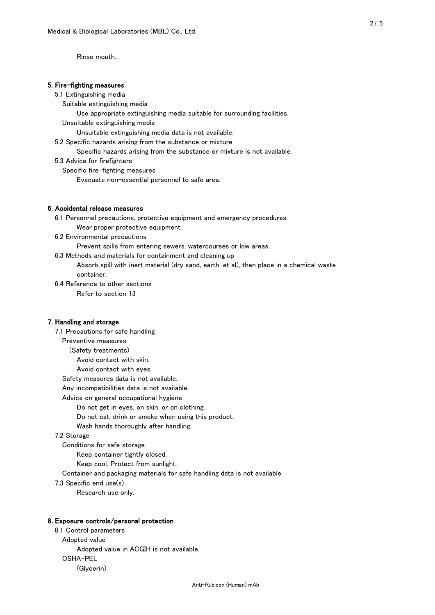Rinse mouth.

#### 5. Fire-fighting measures

#### 5.1 Extinguishing media

Suitable extinguishing media

- Use appropriate extinguishing media suitable for surrounding facilities.
- Unsuitable extinguishing media

Unsuitable extinguishing media data is not available.

- 5.2 Specific hazards arising from the substance or mixture
- Specific hazards arising from the substance or mixture is not available.
- 5.3 Advice for firefighters

Specific fire-fighting measures

Evacuate non-essential personnel to safe area.

#### 6. Accidental release measures

- 6.1 Personnel precautions, protective equipment and emergency procedures Wear proper protective equipment.
- 6.2 Environmental precautions

Prevent spills from entering sewers, watercourses or low areas.

6.3 Methods and materials for containment and cleaning up

- Absorb spill with inert material (dry sand, earth, et al), then place in a chemical waste container.
- 6.4 Reference to other sections

Refer to section 13

#### 7. Handling and storage

 7.1 Precautions for safe handling Preventive measures (Safety treatments) Avoid contact with skin. Avoid contact with eyes. Safety measures data is not available. Any incompatibilities data is not available. Advice on general occupational hygiene Do not get in eyes, on skin, or on clothing. Do not eat, drink or smoke when using this product. Wash hands thoroughly after handling. 7.2 Storage Conditions for safe storage Keep container tightly closed.

Keep cool. Protect from sunlight.

Container and packaging materials for safe handling data is not available.

7.3 Specific end use(s)

Research use only.

#### 8. Exposure controls/personal protection

 8.1 Control parameters Adopted value Adopted value in ACGIH is not available. OSHA-PEL (Glycerin)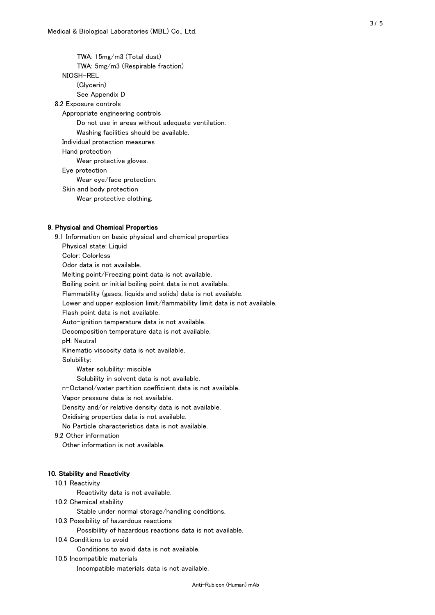TWA: 15mg/m3 (Total dust) TWA: 5mg/m3 (Respirable fraction) NIOSH-REL (Glycerin) See Appendix D 8.2 Exposure controls Appropriate engineering controls Do not use in areas without adequate ventilation. Washing facilities should be available. Individual protection measures Hand protection Wear protective gloves. Eye protection Wear eye/face protection. Skin and body protection Wear protective clothing.

#### 9. Physical and Chemical Properties

 9.1 Information on basic physical and chemical properties Physical state: Liquid Color: Colorless Odor data is not available. Melting point/Freezing point data is not available. Boiling point or initial boiling point data is not available. Flammability (gases, liquids and solids) data is not available. Lower and upper explosion limit/flammability limit data is not available. Flash point data is not available. Auto-ignition temperature data is not available. Decomposition temperature data is not available. pH: Neutral Kinematic viscosity data is not available. Solubility: Water solubility: miscible Solubility in solvent data is not available. n-Octanol/water partition coefficient data is not available. Vapor pressure data is not available. Density and/or relative density data is not available. Oxidising properties data is not available. No Particle characteristics data is not available. 9.2 Other information Other information is not available. 10. Stability and Reactivity 10.1 Reactivity Reactivity data is not available. 10.2 Chemical stability Stable under normal storage/handling conditions. 10.3 Possibility of hazardous reactions

Possibility of hazardous reactions data is not available.

10.4 Conditions to avoid

Conditions to avoid data is not available.

10.5 Incompatible materials

Incompatible materials data is not available.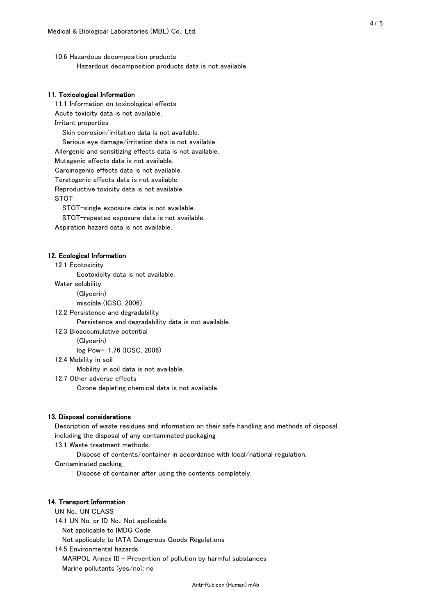10.6 Hazardous decomposition products Hazardous decomposition products data is not available.

### 11. Toxicological Information

 11.1 Information on toxicological effects Acute toxicity data is not available. Irritant properties Skin corrosion/irritation data is not available. Serious eye damage/irritation data is not available. Allergenic and sensitizing effects data is not available. Mutagenic effects data is not available. Carcinogenic effects data is not available. Teratogenic effects data is not available. Reproductive toxicity data is not available. STOT

STOT-single exposure data is not available.

STOT-repeated exposure data is not available.

Aspiration hazard data is not available.

#### 12. Ecological Information

12.1 Ecotoxicity

Ecotoxicity data is not available.

Water solubility

(Glycerin)

miscible (ICSC, 2006)

12.2 Persistence and degradability

Persistence and degradability data is not available.

12.3 Bioaccumulative potential

(Glycerin)

log Pow=-1.76 (ICSC, 2006)

12.4 Mobility in soil

Mobility in soil data is not available.

12.7 Other adverse effects

Ozone depleting chemical data is not available.

#### 13. Disposal considerations

 Description of waste residues and information on their safe handling and methods of disposal, including the disposal of any contaminated packaging

13.1 Waste treatment methods

Dispose of contents/container in accordance with local/national regulation.

Contaminated packing

Dispose of container after using the contents completely.

#### 14. Transport Information

 UN No., UN CLASS 14.1 UN No. or ID No.: Not applicable Not applicable to IMDG Code Not applicable to IATA Dangerous Goods Regulations

 14.5 Environmental hazards MARPOL Annex III - Prevention of pollution by harmful substances Marine pollutants (yes/no): no